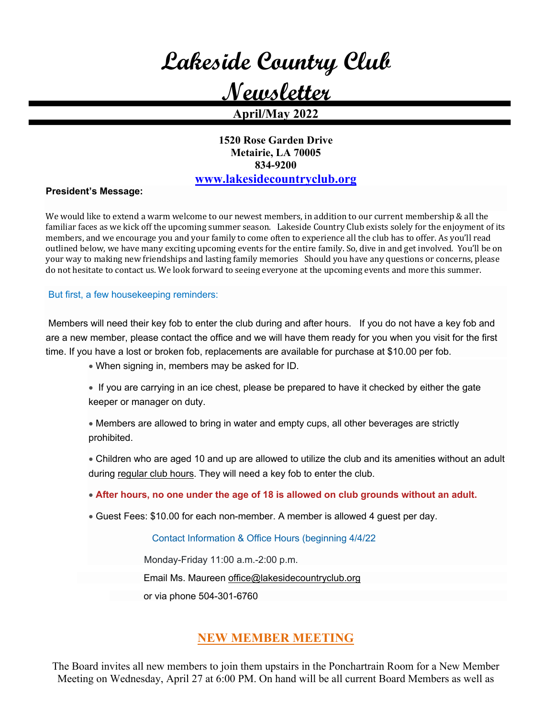# **Lakeside Country Club**

# **Newsletter**

#### **April/May 2022**

**1520 Rose Garden Drive Metairie, LA 70005 834-9200 www.lakesidecountryclub.org**

#### **President's Message:**

We would like to extend a warm welcome to our newest members, in addition to our current membership & all the familiar faces as we kick off the upcoming summer season. Lakeside Country Club exists solely for the enjoyment of its members, and we encourage you and your family to come often to experience all the club has to offer. As you'll read outlined below, we have many exciting upcoming events for the entire family. So, dive in and get involved. You'll be on your way to making new friendships and lasting family memories Should you have any questions or concerns, please do not hesitate to contact us. We look forward to seeing everyone at the upcoming events and more this summer.

#### But first, a few housekeeping reminders:

Members will need their key fob to enter the club during and after hours. If you do not have a key fob and are a new member, please contact the office and we will have them ready for you when you visit for the first time. If you have a lost or broken fob, replacements are available for purchase at \$10.00 per fob.

• When signing in, members may be asked for ID.

• If you are carrying in an ice chest, please be prepared to have it checked by either the gate keeper or manager on duty.

• Members are allowed to bring in water and empty cups, all other beverages are strictly prohibited.

• Children who are aged 10 and up are allowed to utilize the club and its amenities without an adult during regular club hours. They will need a key fob to enter the club.

• **After hours, no one under the age of 18 is allowed on club grounds without an adult.**

• Guest Fees: \$10.00 for each non-member. A member is allowed 4 quest per day.

Contact Information & Office Hours (beginning 4/4/22

Monday-Friday 11:00 a.m.-2:00 p.m.

Email Ms. Maureen office@lakesidecountryclub.org

or via phone 504-301-6760

#### **NEW MEMBER MEETING**

The Board invites all new members to join them upstairs in the Ponchartrain Room for a New Member Meeting on Wednesday, April 27 at 6:00 PM. On hand will be all current Board Members as well as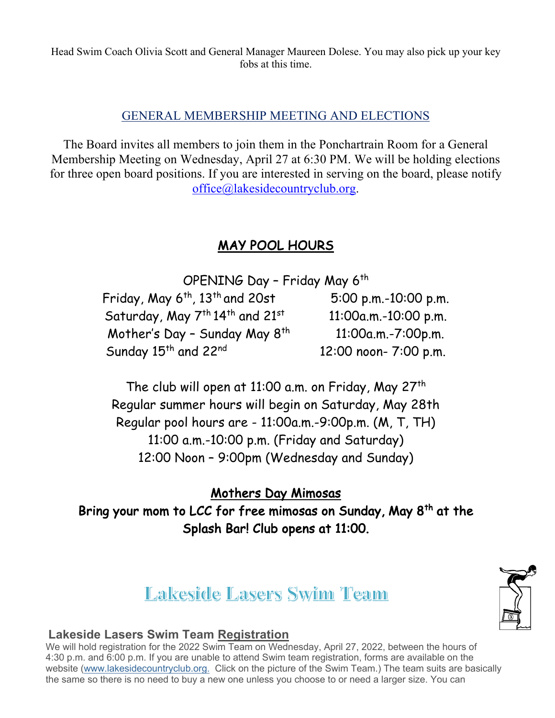Head Swim Coach Olivia Scott and General Manager Maureen Dolese. You may also pick up your key fobs at this time.

#### GENERAL MEMBERSHIP MEETING AND ELECTIONS

The Board invites all members to join them in the Ponchartrain Room for a General Membership Meeting on Wednesday, April 27 at 6:30 PM. We will be holding elections for three open board positions. If you are interested in serving on the board, please notify office@lakesidecountryclub.org.

### MAY POOL HOURS

OPENING Day - Friday May 6<sup>th</sup> Friday, May  $6^{th}$ , 13<sup>th</sup> and 20st 5:00 p.m.-10:00 p.m. Saturday, May  $7^{th}$  14<sup>th</sup> and  $21^{st}$  11:00a.m.-10:00 p.m. Mother's Day - Sunday May  $8^{th}$  11:00a.m.-7:00p.m. Sunday  $15^{th}$  and  $22^{nd}$  12:00 noon- 7:00 p.m.

The club will open at 11:00 a.m. on Friday, May 27<sup>th</sup> Regular summer hours will begin on Saturday, May 28th Regular pool hours are - 11:00a.m.-9:00p.m. (M, T, TH) 11:00 a.m.-10:00 p.m. (Friday and Saturday) 12:00 Noon – 9:00pm (Wednesday and Sunday)

### Mothers Day Mimosas

Bring your mom to LCC for free mimosas on Sunday, May 8<sup>th</sup> at the Splash Bar! Club opens at 11:00.

### **Lakeside Lasers Swim Team**

#### **Lakeside Lasers Swim Team Registration**

We will hold registration for the 2022 Swim Team on Wednesday, April 27, 2022, between the hours of 4:30 p.m. and 6:00 p.m. If you are unable to attend Swim team registration, forms are available on the website (www.lakesidecountryclub.org. Click on the picture of the Swim Team.) The team suits are basically the same so there is no need to buy a new one unless you choose to or need a larger size. You can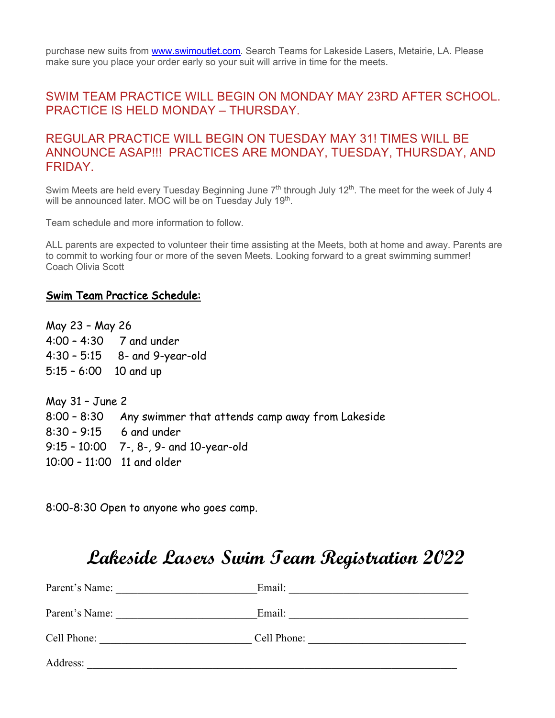purchase new suits from www.swimoutlet.com. Search Teams for Lakeside Lasers, Metairie, LA. Please make sure you place your order early so your suit will arrive in time for the meets.

SWIM TEAM PRACTICE WILL BEGIN ON MONDAY MAY 23RD AFTER SCHOOL. PRACTICE IS HELD MONDAY – THURSDAY.

#### REGULAR PRACTICE WILL BEGIN ON TUESDAY MAY 31! TIMES WILL BE ANNOUNCE ASAP!!! PRACTICES ARE MONDAY, TUESDAY, THURSDAY, AND FRIDAY.

Swim Meets are held every Tuesday Beginning June  $7<sup>th</sup>$  through July 12<sup>th</sup>. The meet for the week of July 4 will be announced later. MOC will be on Tuesday July 19<sup>th</sup>.

Team schedule and more information to follow.

ALL parents are expected to volunteer their time assisting at the Meets, both at home and away. Parents are to commit to working four or more of the seven Meets. Looking forward to a great swimming summer! Coach Olivia Scott

#### Swim Team Practice Schedule:

May 23 – May 26 4:00 – 4:30 7 and under 4:30 – 5:15 8- and 9-year-old 5:15 – 6:00 10 and up May 31 – June 2 8:00 – 8:30 Any swimmer that attends camp away from Lakeside 8:30 – 9:15 6 and under 9:15 – 10:00 7-, 8-, 9- and 10-year-old 10:00 – 11:00 11 and older

8:00-8:30 Open to anyone who goes camp.

### **Lakeside Lasers Swim Team Registration 2022**

| Parent's Name: | Email:      |
|----------------|-------------|
| Parent's Name: | Email:      |
| Cell Phone:    | Cell Phone: |
| Address:       |             |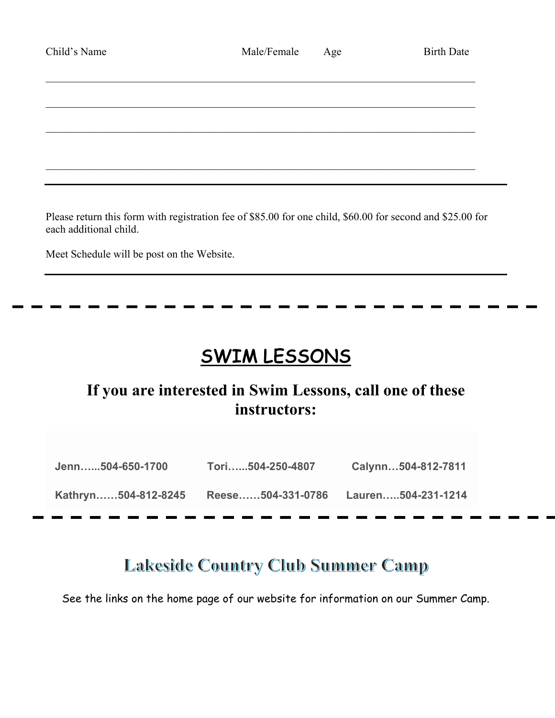| Child's Name | Male/Female Age | <b>Birth Date</b> |
|--------------|-----------------|-------------------|
|              |                 |                   |
|              |                 |                   |
|              |                 |                   |
|              |                 |                   |
|              |                 |                   |

Please return this form with registration fee of \$85.00 for one child, \$60.00 for second and \$25.00 for each additional child.

Meet Schedule will be post on the Website.

## SWIM LESSONS

### **If you are interested in Swim Lessons, call one of these instructors:**

| Jenn504-650-1700    | Tori504-250-4807  | Calynn504-812-7811 |
|---------------------|-------------------|--------------------|
| Kathryn504-812-8245 | Reese504-331-0786 | Lauren504-231-1214 |

### **Lakeside Country Club Summer Camp**

See the links on the home page of our website for information on our Summer Camp.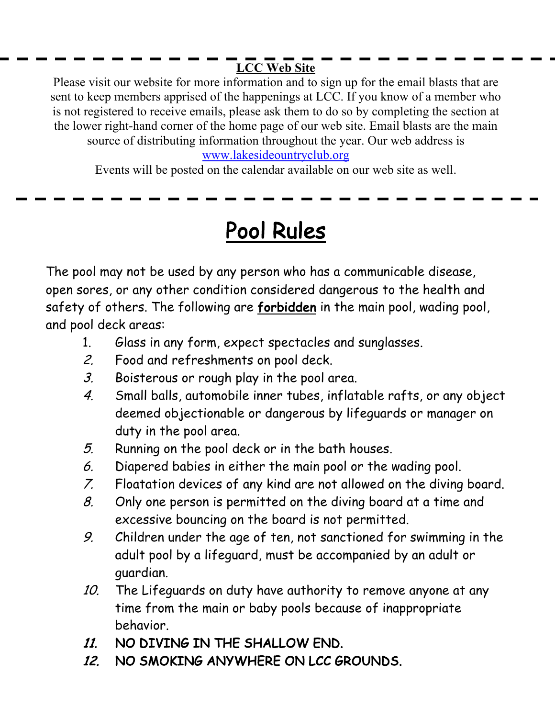### **LCC Web Site**

Please visit our website for more information and to sign up for the email blasts that are sent to keep members apprised of the happenings at LCC. If you know of a member who is not registered to receive emails, please ask them to do so by completing the section at the lower right-hand corner of the home page of our web site. Email blasts are the main source of distributing information throughout the year. Our web address is www.lakesideountryclub.org

Events will be posted on the calendar available on our web site as well.

# Pool Rules

The pool may not be used by any person who has a communicable disease, open sores, or any other condition considered dangerous to the health and safety of others. The following are forbidden in the main pool, wading pool, and pool deck areas:

- 1. Glass in any form, expect spectacles and sunglasses.
- 2. Food and refreshments on pool deck.
- $3.$  Boisterous or rough play in the pool area.
- 4. Small balls, automobile inner tubes, inflatable rafts, or any object deemed objectionable or dangerous by lifeguards or manager on duty in the pool area.
- 5. Running on the pool deck or in the bath houses.
- 6. Diapered babies in either the main pool or the wading pool.
- 7. Floatation devices of any kind are not allowed on the diving board.
- $8.$  Only one person is permitted on the diving board at a time and excessive bouncing on the board is not permitted.
- 9. Children under the age of ten, not sanctioned for swimming in the adult pool by a lifeguard, must be accompanied by an adult or guardian.
- 10. The Lifeguards on duty have authority to remove anyone at any time from the main or baby pools because of inappropriate behavior.
- 11. NO DIVING IN THE SHALLOW END.
- 12. NO SMOKING ANYWHERE ON LCC GROUNDS.